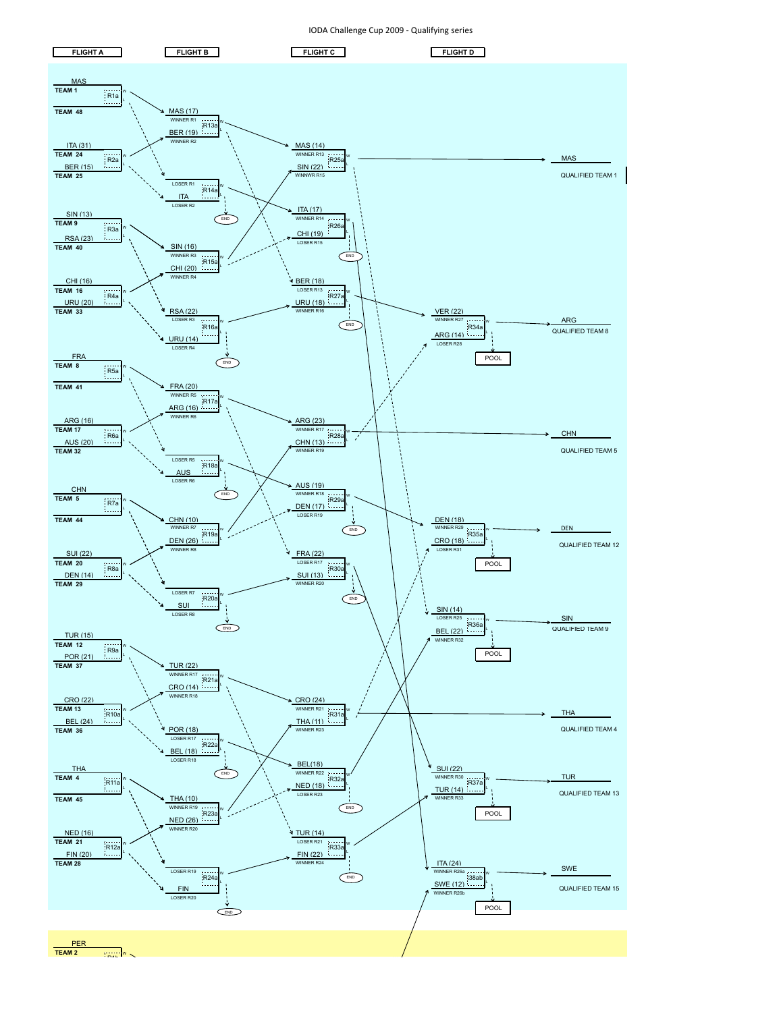

IODA Challenge Cup 2009 - Qualifying series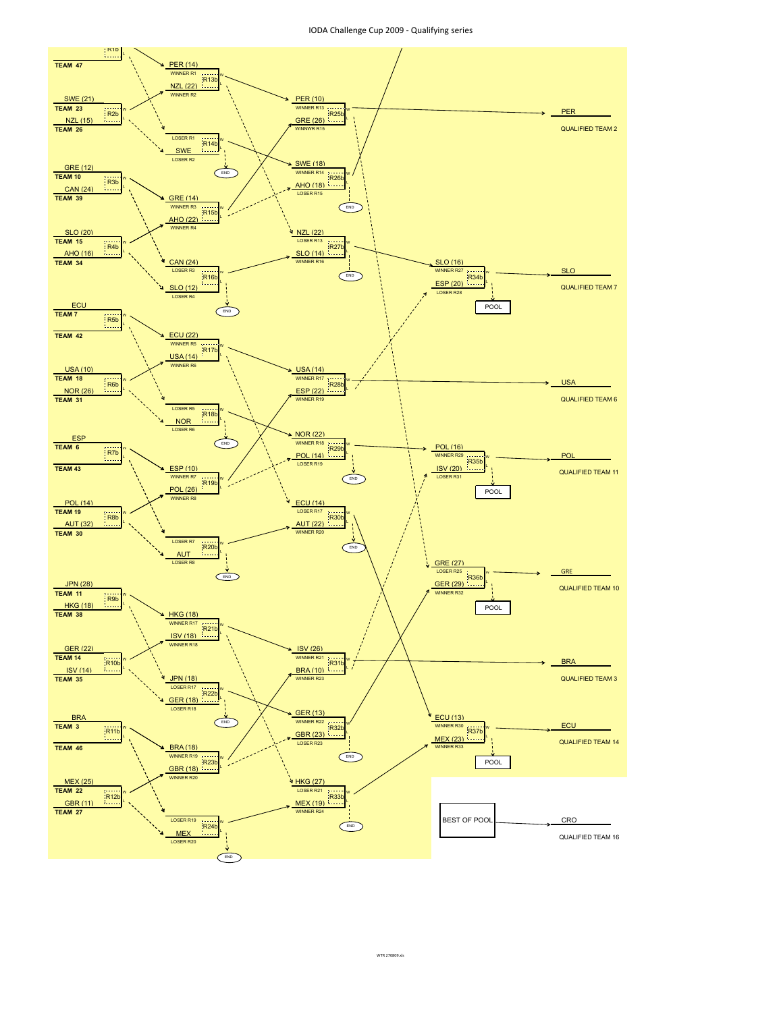